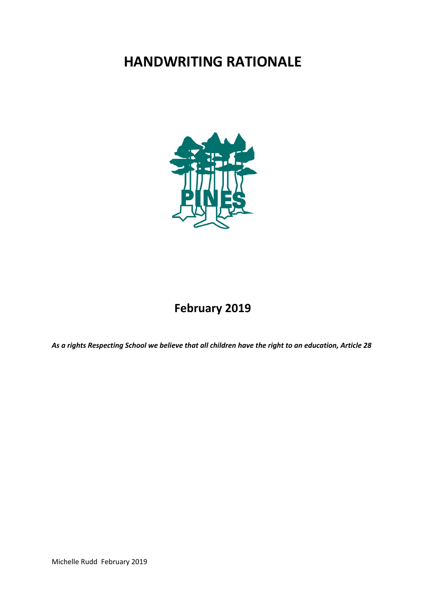# **HANDWRITING RATIONALE**



## **February 2019**

*As a rights Respecting School we believe that all children have the right to an education, Article 28*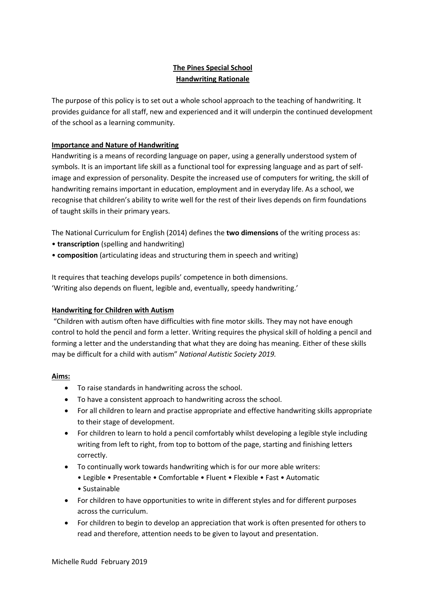### **The Pines Special School Handwriting Rationale**

The purpose of this policy is to set out a whole school approach to the teaching of handwriting. It provides guidance for all staff, new and experienced and it will underpin the continued development of the school as a learning community.

#### **Importance and Nature of Handwriting**

Handwriting is a means of recording language on paper, using a generally understood system of symbols. It is an important life skill as a functional tool for expressing language and as part of selfimage and expression of personality. Despite the increased use of computers for writing, the skill of handwriting remains important in education, employment and in everyday life. As a school, we recognise that children's ability to write well for the rest of their lives depends on firm foundations of taught skills in their primary years.

The National Curriculum for English (2014) defines the **two dimensions** of the writing process as:

- **transcription** (spelling and handwriting)
- **composition** (articulating ideas and structuring them in speech and writing)

It requires that teaching develops pupils' competence in both dimensions. 'Writing also depends on fluent, legible and, eventually, speedy handwriting.'

#### **Handwriting for Children with Autism**

"Children with autism often have difficulties with fine motor skills. They may not have enough control to hold the pencil and form a letter. Writing requires the physical skill of holding a pencil and forming a letter and the understanding that what they are doing has meaning. Either of these skills may be difficult for a child with autism" *National Autistic Society 2019.* 

#### **Aims:**

- To raise standards in handwriting across the school.
- To have a consistent approach to handwriting across the school.
- For all children to learn and practise appropriate and effective handwriting skills appropriate to their stage of development.
- For children to learn to hold a pencil comfortably whilst developing a legible style including writing from left to right, from top to bottom of the page, starting and finishing letters correctly.
- To continually work towards handwriting which is for our more able writers:
	- Legible Presentable Comfortable Fluent Flexible Fast Automatic • Sustainable
- For children to have opportunities to write in different styles and for different purposes across the curriculum.
- For children to begin to develop an appreciation that work is often presented for others to read and therefore, attention needs to be given to layout and presentation.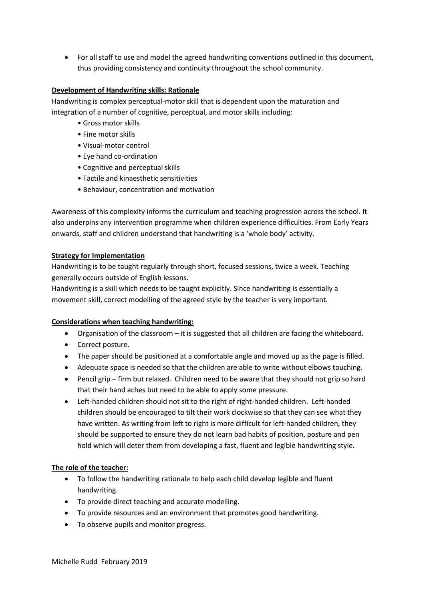• For all staff to use and model the agreed handwriting conventions outlined in this document, thus providing consistency and continuity throughout the school community.

#### **Development of Handwriting skills: Rationale**

Handwriting is complex perceptual-motor skill that is dependent upon the maturation and integration of a number of cognitive, perceptual, and motor skills including:

- Gross motor skills
- Fine motor skills
- Visual-motor control
- Eye hand co-ordination
- Cognitive and perceptual skills
- Tactile and kinaesthetic sensitivities
- Behaviour, concentration and motivation

Awareness of this complexity informs the curriculum and teaching progression across the school. It also underpins any intervention programme when children experience difficulties. From Early Years onwards, staff and children understand that handwriting is a 'whole body' activity.

#### **Strategy for Implementation**

Handwriting is to be taught regularly through short, focused sessions, twice a week. Teaching generally occurs outside of English lessons.

Handwriting is a skill which needs to be taught explicitly. Since handwriting is essentially a movement skill, correct modelling of the agreed style by the teacher is very important.

#### **Considerations when teaching handwriting:**

- Organisation of the classroom it is suggested that all children are facing the whiteboard.
- Correct posture.
- The paper should be positioned at a comfortable angle and moved up as the page is filled.
- Adequate space is needed so that the children are able to write without elbows touching.
- Pencil grip firm but relaxed. Children need to be aware that they should not grip so hard that their hand aches but need to be able to apply some pressure.
- Left-handed children should not sit to the right of right-handed children. Left-handed children should be encouraged to tilt their work clockwise so that they can see what they have written. As writing from left to right is more difficult for left-handed children, they should be supported to ensure they do not learn bad habits of position, posture and pen hold which will deter them from developing a fast, fluent and legible handwriting style.

#### **The role of the teacher:**

- To follow the handwriting rationale to help each child develop legible and fluent handwriting.
- To provide direct teaching and accurate modelling.
- To provide resources and an environment that promotes good handwriting.
- To observe pupils and monitor progress.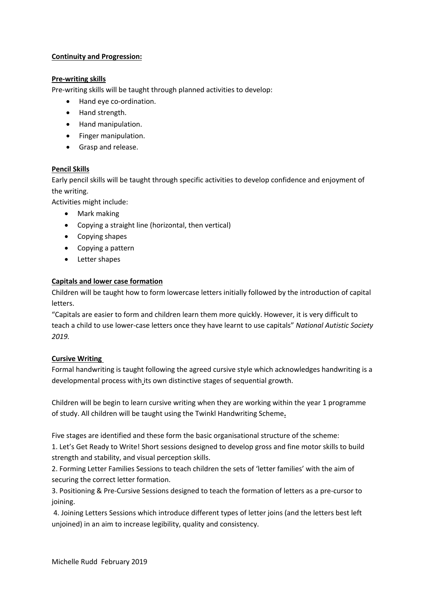#### **Continuity and Progression:**

#### **Pre-writing skills**

Pre-writing skills will be taught through planned activities to develop:

- Hand eye co-ordination.
- Hand strength.
- Hand manipulation.
- Finger manipulation.
- Grasp and release.

#### **Pencil Skills**

Early pencil skills will be taught through specific activities to develop confidence and enjoyment of the writing.

Activities might include:

- Mark making
- Copying a straight line (horizontal, then vertical)
- Copying shapes
- Copying a pattern
- Letter shapes

#### **Capitals and lower case formation**

Children will be taught how to form lowercase letters initially followed by the introduction of capital letters.

"Capitals are easier to form and children learn them more quickly. However, it is very difficult to teach a child to use lower-case letters once they have learnt to use capitals" *National Autistic Society 2019.*

#### **Cursive Writing**

Formal handwriting is taught following the agreed cursive style which acknowledges handwriting is a developmental process with its own distinctive stages of sequential growth.

Children will be begin to learn cursive writing when they are working within the year 1 programme of study. All children will be taught using the Twinkl Handwriting Scheme**.**

Five stages are identified and these form the basic organisational structure of the scheme:

1. Let's Get Ready to Write! Short sessions designed to develop gross and fine motor skills to build strength and stability, and visual perception skills.

2. Forming Letter Families Sessions to teach children the sets of 'letter families' with the aim of securing the correct letter formation.

3. Positioning & Pre-Cursive Sessions designed to teach the formation of letters as a pre-cursor to joining.

4. Joining Letters Sessions which introduce different types of letter joins (and the letters best left unjoined) in an aim to increase legibility, quality and consistency.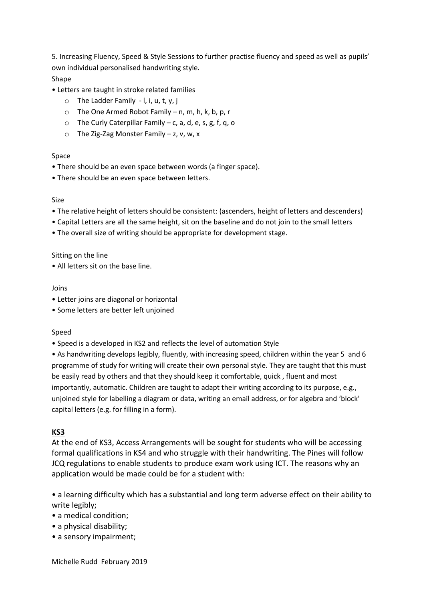5. Increasing Fluency, Speed & Style Sessions to further practise fluency and speed as well as pupils' own individual personalised handwriting style. Shape

- Letters are taught in stroke related families
	- $\circ$  The Ladder Family l, i, u, t, y, j
	- $\circ$  The One Armed Robot Family n, m, h, k, b, p, r
	- $\circ$  The Curly Caterpillar Family c, a, d, e, s, g, f, q, o
	- $\circ$  The Zig-Zag Monster Family z, v, w, x

#### Space

- There should be an even space between words (a finger space).
- There should be an even space between letters.

#### Size

- The relative height of letters should be consistent: (ascenders, height of letters and descenders)
- Capital Letters are all the same height, sit on the baseline and do not join to the small letters
- The overall size of writing should be appropriate for development stage.

#### Sitting on the line

• All letters sit on the base line.

#### Joins

- Letter joins are diagonal or horizontal
- Some letters are better left unjoined

#### Speed

• Speed is a developed in KS2 and reflects the level of automation Style

• As handwriting develops legibly, fluently, with increasing speed, children within the year 5 and 6 programme of study for writing will create their own personal style. They are taught that this must be easily read by others and that they should keep it comfortable, quick , fluent and most importantly, automatic. Children are taught to adapt their writing according to its purpose, e.g., unjoined style for labelling a diagram or data, writing an email address, or for algebra and 'block' capital letters (e.g. for filling in a form).

#### **KS3**

At the end of KS3, Access Arrangements will be sought for students who will be accessing formal qualifications in KS4 and who struggle with their handwriting. The Pines will follow JCQ regulations to enable students to produce exam work using ICT. The reasons why an application would be made could be for a student with:

• a learning difficulty which has a substantial and long term adverse effect on their ability to write legibly;

- a medical condition;
- a physical disability;
- a sensory impairment;